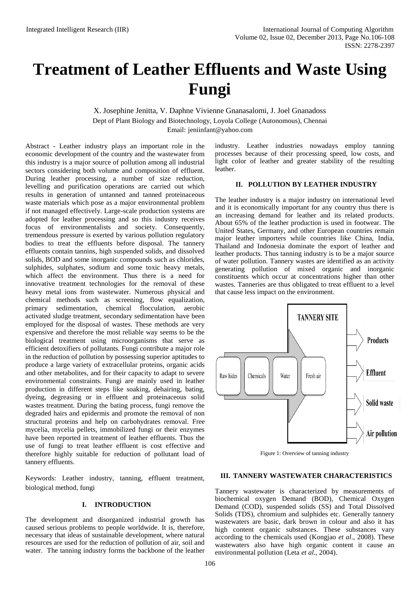# **Treatment of Leather Effluents and Waste Using Fungi**

X. Josephine Jenitta, V. Daphne Vivienne Gnanasalomi, J. Joel Gnanadoss Dept of Plant Biology and Biotechnology, Loyola College (Autonomous), Chennai Email: [jeniinfant@yahoo.com](mailto:jeniinfant@yahoo.com)

Abstract - Leather industry plays an important role in the economic development of the country and the wastewater from this industry is a major source of pollution among all industrial sectors considering both volume and composition of effluent. During leather processing, a number of size reduction, levelling and purification operations are carried out which results in generation of untanned and tanned proteinaceous waste materials which pose as a major environmental problem if not managed effectively. Large-scale production systems are adopted for leather processing and so this industry receives focus of environmentalists and society. Consequently, tremendous pressure is exerted by various pollution regulatory bodies to treat the effluents before disposal. The tannery effluents contain tannins, high suspended solids, and dissolved solids, BOD and some inorganic compounds such as chlorides, sulphides, sulphates, sodium and some toxic heavy metals, which affect the environment. Thus there is a need for innovative treatment technologies for the removal of these heavy metal ions from wastewater. Numerous physical and chemical methods such as screening, flow equalization, primary sedimentation, chemical flocculation, aerobic activated sludge treatment, secondary sedimentation have been employed for the disposal of wastes. These methods are very expensive and therefore the most reliable way seems to be the biological treatment using microorganisms that serve as efficient detoxifiers of pollutants. Fungi contribute a major role in the reduction of pollution by possessing superior aptitudes to produce a large variety of extracellular proteins, organic acids and other metabolites, and for their capacity to adapt to severe environmental constraints. Fungi are mainly used in leather production in different steps like soaking, dehairing, bating, dyeing, degreasing or in effluent and proteinaceous solid wastes treatment. During the bating process, fungi remove the degraded hairs and epidermis and promote the removal of non structural proteins and help on carbohydrates removal. Free mycelia, mycelia pellets, immobilized fungi or their enzymes have been reported in treatment of leather effluents. Thus the use of fungi to treat leather effluent is cost effective and therefore highly suitable for reduction of pollutant load of tannery effluents.

Keywords: Leather industry, tanning, effluent treatment, biological method, fungi

# **I. INTRODUCTION**

The development and disorganized industrial growth has caused serious problems to people worldwide. It is, therefore, necessary that ideas of sustainable development, where natural resources are used for the reduction of pollution of air, soil and water. The tanning industry forms the backbone of the leather

industry. Leather industries nowadays employ tanning processes because of their processing speed, low costs, and light color of leather and greater stability of the resulting leather.

## **II. POLLUTION BY LEATHER INDUSTRY**

The leather industry is a major industry on international level and it is economically important for any country thus there is an increasing demand for leather and its related products. About 65% of the leather production is used in footwear. The United States, Germany, and other European countries remain major leather importers while countries like China, India, Thailand and Indonesia dominate the export of leather and leather products. Thus tanning industry is to be a major source of water pollution. Tannery wastes are identified as an activity generating pollution of mixed organic and inorganic constituents which occur at concentrations higher than other wastes. Tanneries are thus obligated to treat effluent to a level that cause less impact on the environment.



Figure 1: Overview of tanning industry

### **III. TANNERY WASTEWATER CHARACTERISTICS**

Tannery wastewater is characterized by measurements of biochemical oxygen Demand (BOD), Chemical Oxygen Demand (COD), suspended solids (SS) and Total Dissolved Solids (TDS), chromium and sulphides etc. Generally tannery wastewaters are basic, dark brown in colour and also it has high content organic substances. These substances vary according to the chemicals used (Kongjao *et al*., 2008). These wastewaters also have high organic content it cause an environmental pollution (Leta *et al*., 2004).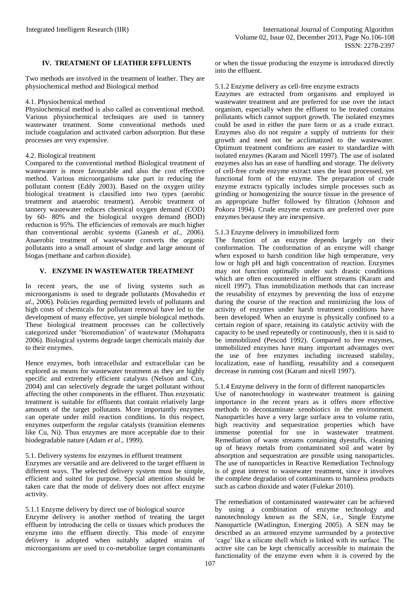## **IV. TREATMENT OF LEATHER EFFLUENTS**

Two methods are involved in the treatment of leather. They are physiochemical method and Biological method

### 4.1. Physiochemical method

Physiochemical method is also called as conventional method. Various physiochemical techniques are used in tannery wastewater treatment. Some conventional methods used include coagulation and activated carbon adsorption. But these processes are very expensive.

## 4.2. Biological treatment

Compared to the conventional method Biological treatment of wastewater is more favourable and also the cost effective method. Various microorganisms take part in reducing the pollutant content (Eddy 2003). Based on the oxygen utility biological treatment is classified into two types (aerobic treatment and anaerobic treatment). Aerobic treatment of tannery wastewater reduces chemical oxygen demand (COD) by 60- 80% and the biological oxygen demand (BOD) reduction is 95%. The efficiencies of removals are much higher than conventional aerobic systems (Ganesh *et al.*, 2006). Anaerobic treatment of wastewater converts the organic pollutants into a small amount of sludge and large amount of biogas (methane and carbon dioxide).

# **V. ENZYME IN WASTEWATER TREATMENT**

In recent years, the use of living systems such as microorganisms is used to degrade pollutants (Movahedin *et al*., 2006). Policies regarding permitted levels of pollutants and high costs of chemicals for pollutant removal have led to the development of many effective, yet simple biological methods. These biological treatment processes can be collectively categorized under 'bioremediation' of wastewater (Mohapatra 2006). Biological systems degrade target chemicals mainly due to their enzymes.

Hence enzymes, both intracellular and extracellular can be explored as means for wastewater treatment as they are highly specific and extremely efficient catalysts (Nelson and Cox, 2004) and can selectively degrade the target pollutant without affecting the other components in the effluent. Thus enzymatic treatment is suitable for effluents that contain relatively large amounts of the target pollutants. More importantly enzymes can operate under mild reaction conditions. In this respect, enzymes outperform the regular catalysts (transition elements like Cu, Ni). Thus enzymes are more acceptable due to their biodegradable nature (Adam *et al*., 1999).

### 5.1. Delivery systems for enzymes in effluent treatment

Enzymes are versatile and are delivered to the target effluent in different ways. The selected delivery system must be simple, efficient and suited for purpose. Special attention should be taken care that the mode of delivery does not affect enzyme activity.

5.1.1 Enzyme delivery by direct use of biological source Enzyme delivery is another method of treating the target effluent by introducing the cells or tissues which produces the enzyme into the effluent directly. This mode of enzyme delivery is adopted when suitably adapted strains of microorganisms are used to co-metabolize target contaminants or when the tissue producing the enzyme is introduced directly into the effluent.

## 5.1.2 Enzyme delivery as cell-free enzyme extracts

Enzymes are extracted from organisms and employed in wastewater treatment and are preferred for use over the intact organism, especially when the effluent to be treated contains pollutants which cannot support growth. The isolated enzymes could be used in either the pure form or as a crude extract. Enzymes also do not require a supply of nutrients for their growth and need not be acclimatized to the wastewater. Optimum treatment conditions are easier to standardize with isolated enzymes (Karam and Nicell 1997). The use of isolated enzymes also has an ease of handling and storage. The delivery of cell-free crude enzyme extract uses the least processed, yet functional form of the enzyme. The preparation of crude enzyme extracts typically includes simple processes such as grinding or homogenizing the source tissue in the presence of an appropriate buffer followed by filtration (Johnson and Pokora 1994). Crude enzyme extracts are preferred over pure enzymes because they are inexpensive.

# 5.1.3 Enzyme delivery in immobilized form

The function of an enzyme depends largely on their conformation. The conformation of an enzyme will change when exposed to harsh condition like high temperature, very low or high pH and high concentration of reaction. Enzymes may not function optimally under such drastic conditions which are often encountered in effluent streams (Karam and nicell 1997). Thus immobilization methods that can increase the reusability of enzymes by preventing the loss of enzyme during the course of the reaction and minimizing the loss of activity of enzymes under harsh treatment conditions have been developed. When an enzyme is physically confined to a certain region of space, retaining its catalytic activity with the capacity to be used repeatedly or continuously, then it is said to be immobilized (Pescod 1992). Compared to free enzymes, immobilized enzymes have many important advantages over the use of free enzymes including increased stability, localization, ease of handling, reusability and a consequent decrease in running cost (Karam and nicell 1997).

# 5.1.4 Enzyme delivery in the form of different nanoparticles

Use of nanotechnology in wastewater treatment is gaining importance in the recent years as it offers more effective methods to decontaminate xenobiotics in the environment. Nanoparticles have a very large surface area to volume ratio, high reactivity and sequestration properties which have immense potential for use in wastewater treatment. Remediation of waste streams containing dyestuffs, cleaning up of heavy metals from contaminated soil and water by absorption and sequestration are possible using nanoparticles. The use of nanoparticles in Reactive Remediation Technology is of great interest to wastewater treatment, since it involves the complete degradation of contaminants to harmless products such as carbon dioxide and water (Fulekar 2010).

The remediation of contaminated wastewater can be achieved by using a combination of enzyme technology and nanotechnology known as the SEN, i.e., Single Enzyme Nanoparticle (Watlington, Emerging 2005). A SEN may be described as an armored enzyme surrounded by a protective 'cage' like a silicate shell which is linked with its surface. The active site can be kept chemically accessible to maintain the functionality of the enzyme even when it is covered by the